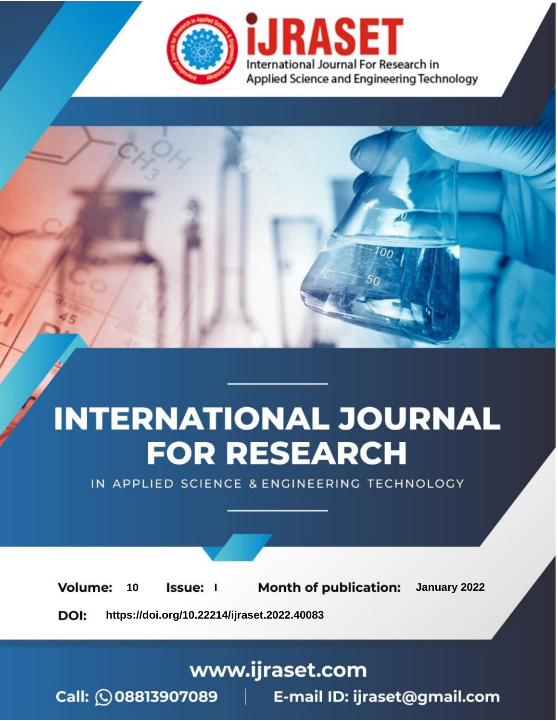

# **INTERNATIONAL JOURNAL FOR RESEARCH**

IN APPLIED SCIENCE & ENGINEERING TECHNOLOGY

**Month of publication:** January 2022 **Volume:** 10 **Issue:** I

DOI: https://doi.org/10.22214/ijraset.2022.40083

www.ijraset.com

Call: 008813907089 | E-mail ID: ijraset@gmail.com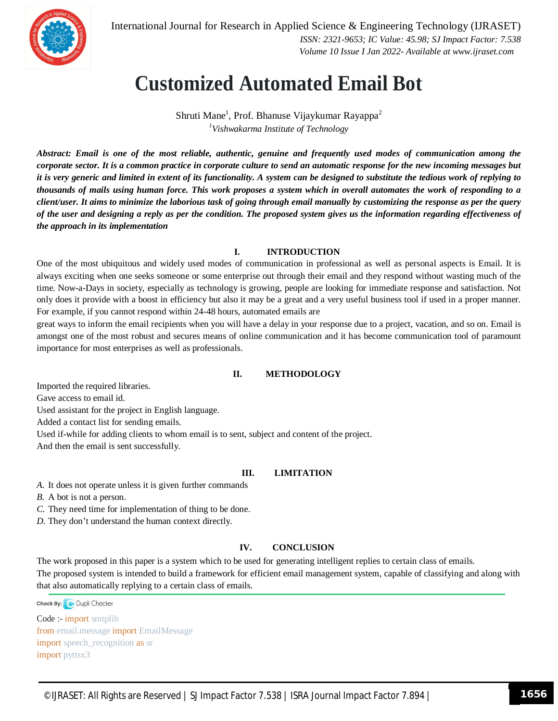

International Journal for Research in Applied Science & Engineering Technology (IJRASET)  *ISSN: 2321-9653; IC Value: 45.98; SJ Impact Factor: 7.538 Volume 10 Issue I Jan 2022- Available at www.ijraset.com*

### **Customized Automated Email Bot**

Shruti Mane<sup>1</sup>, Prof. Bhanuse Vijaykumar Rayappa<sup>2</sup> *<sup>1</sup>Vishwakarma Institute of Technology*

*Abstract: Email is one of the most reliable, authentic, genuine and frequently used modes of communication among the corporate sector. It is a common practice in corporate culture to send an automatic response for the new incoming messages but it is very generic and limited in extent of its functionality. A system can be designed to substitute the tedious work of replying to thousands of mails using human force. This work proposes a system which in overall automates the work of responding to a client/user. It aims to minimize the laborious task of going through email manually by customizing the response as per the query of the user and designing a reply as per the condition. The proposed system gives us the information regarding effectiveness of the approach in its implementation* 

#### **I. INTRODUCTION**

One of the most ubiquitous and widely used modes of communication in professional as well as personal aspects is Email. It is always exciting when one seeks someone or some enterprise out through their email and they respond without wasting much of the time. Now-a-Days in society, especially as technology is growing, people are looking for immediate response and satisfaction. Not only does it provide with a boost in efficiency but also it may be a great and a very useful business tool if used in a proper manner. For example, if you cannot respond within 24-48 hours, automated emails are

great ways to inform the email recipients when you will have a delay in your response due to a project, vacation, and so on. Email is amongst one of the most robust and secures means of online communication and it has become communication tool of paramount importance for most enterprises as well as professionals.

#### **II. METHODOLOGY**

Imported the required libraries. Gave access to email id.

Used assistant for the project in English language.

Added a contact list for sending emails.

Used if-while for adding clients to whom email is to sent, subject and content of the project.

And then the email is sent successfully.

#### **III. LIMITATION**

*A.* It does not operate unless it is given further commands

*B.* A bot is not a person.

*C.* They need time for implementation of thing to be done.

*D.* They don't understand the human context directly.

#### **IV. CONCLUSION**

The work proposed in this paper is a system which to be used for generating intelligent replies to certain class of emails. The proposed system is intended to build a framework for efficient email management system, capable of classifying and along with that also automatically replying to a certain class of emails.

Check By: Dupli Checker

Code :- import smtplib from email.message import EmailMessage import speech\_recognition as sr import pyttsx3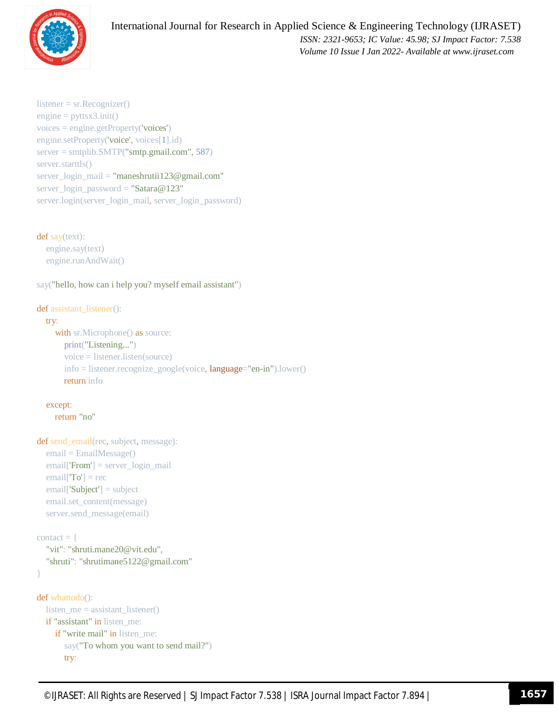

```
listener = sr.Recognizer()
engine = pyttsx3.init()voices = engine.getProperty('voices')
engine.setProperty('voice', voices[1].id)
server = smtplib.SMTP("smtp.gmail.com", 587)
server.starttls()
server_login_mail = "maneshrutii123@gmail.com"
server_login_password = "Satara@123"
server.login(server_login_mail, server_login_password)
```
def say(text): engine.say(text) engine.runAndWait()

say("hello, how can i help you? myself email assistant")

```
def assistant_listener():
```

```
 try:
```

```
with sr.Microphone() as source:
   print("Listening...")
   voice = listener.listen(source)
   info = listener.recognize_google(voice, language="en-in").lower()
   return info
```

```
 except:
```

```
 return "no"
```

```
def send_email(rec, subject, message):
   email = EmailMessage()
   email['From'] = server_login_mail
  email['To'] = rec email['Subject'] = subject
   email.set_content(message)
   server.send_message(email)
```

```
contact = \{ "vit": "shruti.mane20@vit.edu",
   "shruti": "shrutimane5122@gmail.com"
```

```
}
```

```
def whattodo():
   listen_me = assistant_listener()
   if "assistant" in listen_me:
     if "write mail" in listen me:
        say("To whom you want to send mail?")
        try:
```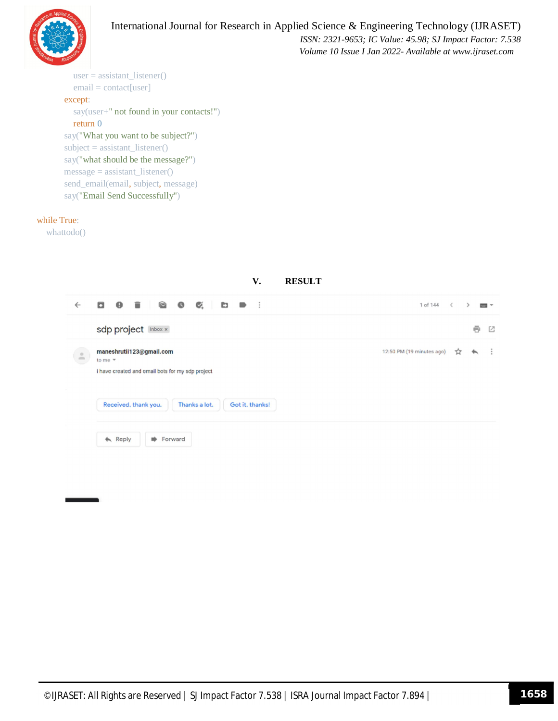

 *ISSN: 2321-9653; IC Value: 45.98; SJ Impact Factor: 7.538 Volume 10 Issue I Jan 2022- Available at www.ijraset.com*

```
 user = assistant_listener()
   email = contact[user]
 except:
   say(user+" not found in your contacts!")
   return 0
 say("What you want to be subject?")
subject = assistant_{{\text{distance}}} say("what should be the message?")
message = assistantListener() send_email(email, subject, message)
 say("Email Send Successfully")
```
#### while True:

whattodo()

| <b>RESULT</b><br>V.                                                                                                                                                                                               |                                                                         |
|-------------------------------------------------------------------------------------------------------------------------------------------------------------------------------------------------------------------|-------------------------------------------------------------------------|
| .<br>$\bullet$<br>$\mathcal{Q}_*$<br>- 63<br>q<br>$\ddot{\phantom{0}}$<br>$\leftarrow$<br>n Brit                                                                                                                  | 1 of 144<br>$\leq$<br>$1000 - 400$                                      |
| sdp project Inbox x                                                                                                                                                                                               | ē<br>G                                                                  |
| maneshrutii123@gmail.com<br>$\stackrel{\circ}{-}$<br>to me $\tau$<br>i have created and email bots for my sdp project<br>Received, thank you.<br>Got it, thanks!<br>Thanks a lot.<br>Forward<br>$\triangle$ Reply | 12:50 PM (19 minutes ago)<br>- 1<br>$\mathbf{x}$<br>$\hat{\phantom{a}}$ |